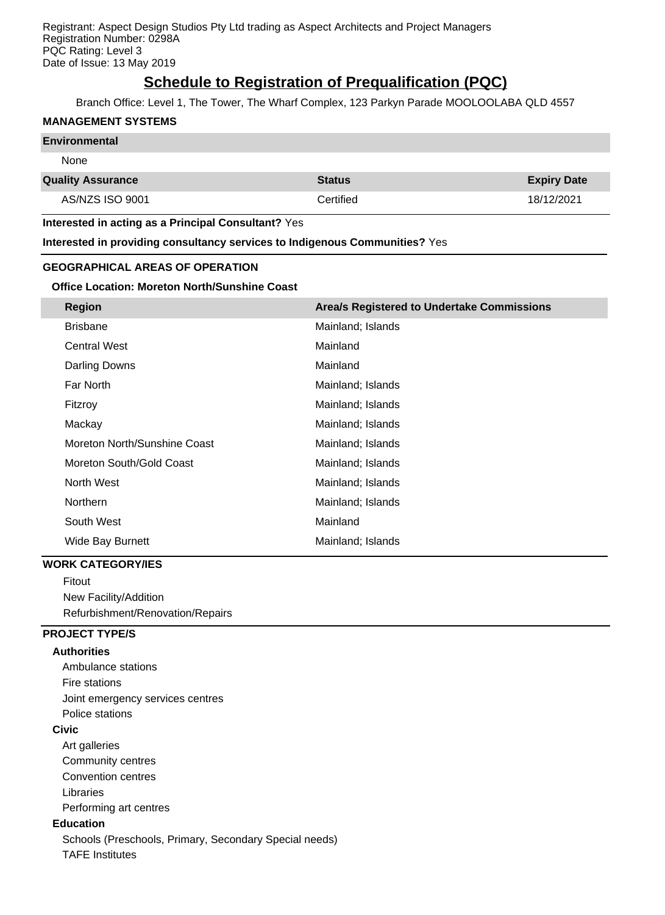Registrant: Aspect Design Studios Pty Ltd trading as Aspect Architects and Project Managers Registration Number: 0298A PQC Rating: Level 3 Date of Issue: 13 May 2019

# **Schedule to Registration of Prequalification (PQC)**

Branch Office: Level 1, The Tower, The Wharf Complex, 123 Parkyn Parade MOOLOOLABA QLD 4557

#### **MANAGEMENT SYSTEMS**

#### **Environmental**

#### None

| <b>Quality Assurance</b> | <b>Status</b> | <b>Expiry Date</b> |
|--------------------------|---------------|--------------------|
| AS/NZS ISO 9001          | Certified     | 18/12/2021         |

**Interested in acting as a Principal Consultant?** Yes

**Interested in providing consultancy services to Indigenous Communities?** Yes

## **GEOGRAPHICAL AREAS OF OPERATION**

#### **Office Location: Moreton North/Sunshine Coast**

| <b>Region</b>                | Area/s Registered to Undertake Commissions |
|------------------------------|--------------------------------------------|
| <b>Brisbane</b>              | Mainland; Islands                          |
| <b>Central West</b>          | Mainland                                   |
| Darling Downs                | Mainland                                   |
| Far North                    | Mainland; Islands                          |
| Fitzroy                      | Mainland; Islands                          |
| Mackay                       | Mainland; Islands                          |
| Moreton North/Sunshine Coast | Mainland; Islands                          |
| Moreton South/Gold Coast     | Mainland; Islands                          |
| North West                   | Mainland; Islands                          |
| <b>Northern</b>              | Mainland; Islands                          |
| South West                   | Mainland                                   |
| Wide Bay Burnett             | Mainland; Islands                          |

#### **WORK CATEGORY/IES**

Fitout New Facility/Addition Refurbishment/Renovation/Repairs

## **PROJECT TYPE/S**

#### **Authorities**

Ambulance stations Fire stations Joint emergency services centres Police stations **Civic** Art galleries Community centres Convention centres Libraries Performing art centres **Education** Schools (Preschools, Primary, Secondary Special needs) TAFE Institutes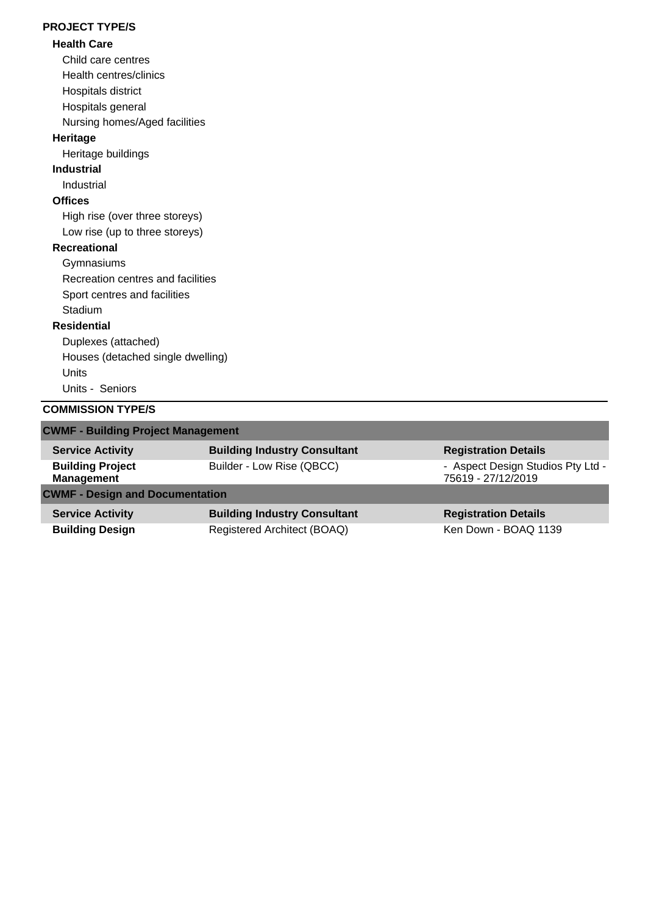## **PROJECT TYPE/S**

## **Health Care**

Child care centres

Health centres/clinics

Hospitals district

Hospitals general

Nursing homes/Aged facilities

## **Heritage**

Heritage buildings

# **Industrial**

Industrial

# **Offices**

High rise (over three storeys) Low rise (up to three storeys)

## **Recreational**

**Gymnasiums** 

Recreation centres and facilities Sport centres and facilities

Stadium

## **Residential**

Duplexes (attached) Houses (detached single dwelling) Units Units - Seniors

## **COMMISSION TYPE/S**

| <b>CWMF - Building Project Management</b>    |                                     |                                                         |  |  |
|----------------------------------------------|-------------------------------------|---------------------------------------------------------|--|--|
| <b>Service Activity</b>                      | <b>Building Industry Consultant</b> | <b>Registration Details</b>                             |  |  |
| <b>Building Project</b><br><b>Management</b> | Builder - Low Rise (QBCC)           | - Aspect Design Studios Pty Ltd -<br>75619 - 27/12/2019 |  |  |
| <b>CWMF - Design and Documentation</b>       |                                     |                                                         |  |  |
| <b>Service Activity</b>                      | <b>Building Industry Consultant</b> | <b>Registration Details</b>                             |  |  |
| <b>Building Design</b>                       | Registered Architect (BOAQ)         | Ken Down - BOAQ 1139                                    |  |  |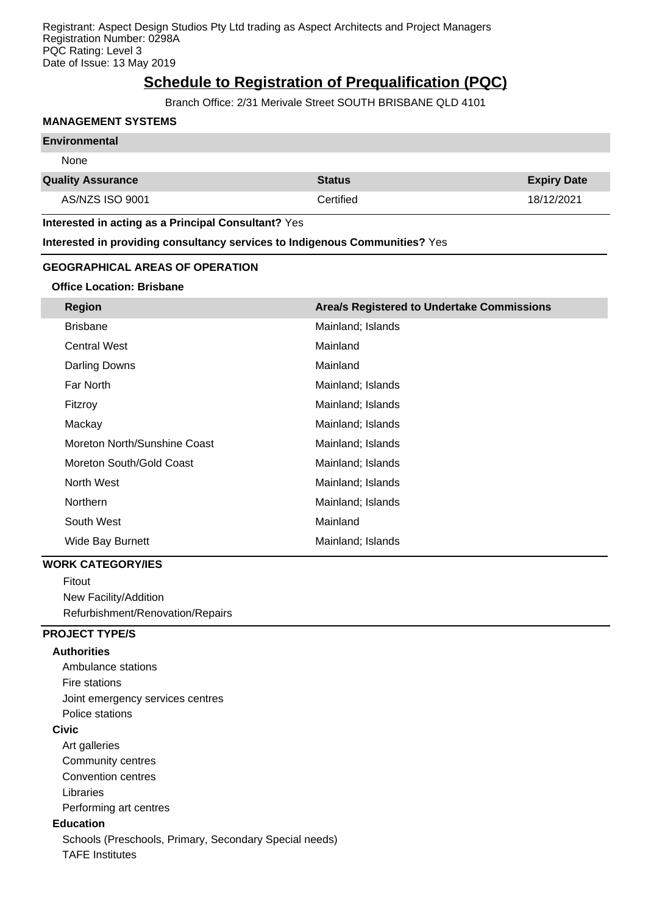Registrant: Aspect Design Studios Pty Ltd trading as Aspect Architects and Project Managers Registration Number: 0298A PQC Rating: Level 3 Date of Issue: 13 May 2019

# **Schedule to Registration of Prequalification (PQC)**

Branch Office: 2/31 Merivale Street SOUTH BRISBANE QLD 4101

#### **MANAGEMENT SYSTEMS**

#### **Environmental**

None

#### **Quality Assurance Status Expiry Date**

AS/NZS ISO 9001 **Certified** 18/12/2021 **Certified** 18/12/2021

#### **Interested in acting as a Principal Consultant?** Yes

**Interested in providing consultancy services to Indigenous Communities?** Yes

#### **GEOGRAPHICAL AREAS OF OPERATION**

#### **Office Location: Brisbane**

| <b>Region</b>                | Area/s Registered to Undertake Commissions |
|------------------------------|--------------------------------------------|
| <b>Brisbane</b>              | Mainland; Islands                          |
| <b>Central West</b>          | Mainland                                   |
| Darling Downs                | Mainland                                   |
| Far North                    | Mainland; Islands                          |
| Fitzroy                      | Mainland; Islands                          |
| Mackay                       | Mainland; Islands                          |
| Moreton North/Sunshine Coast | Mainland; Islands                          |
| Moreton South/Gold Coast     | Mainland; Islands                          |
| North West                   | Mainland; Islands                          |
| <b>Northern</b>              | Mainland; Islands                          |
| South West                   | Mainland                                   |
| <b>Wide Bay Burnett</b>      | Mainland; Islands                          |

#### **WORK CATEGORY/IES**

Fitout New Facility/Addition Refurbishment/Renovation/Repairs

## **PROJECT TYPE/S**

#### **Authorities**

Ambulance stations Fire stations Joint emergency services centres Police stations **Civic** Art galleries Community centres Convention centres Libraries Performing art centres **Education** Schools (Preschools, Primary, Secondary Special needs) TAFE Institutes